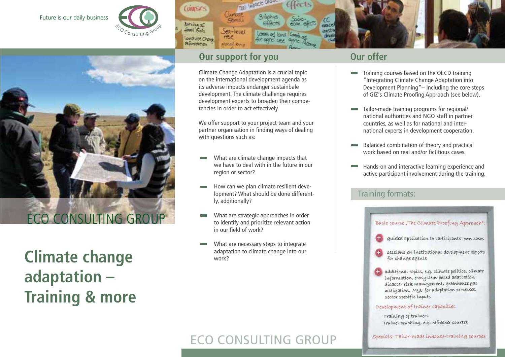### Future is our daily business





**Climate change adaptation – Training & more** 



 $90 - 1010$ 

Aldeal Owy

Couses

Barvillag of

**Soon Field** 

Low of USE Chave deformation.

> Climate Change Adaptation is a crucial topic on the international development agenda as its adverse impacts endanger sustainbale development. The climate challenge requires development experts to broaden their competencies in order to act effectively.

**LOCK ONOW** 

We offer support to your project team and your partner organisation in finding ways of dealing with questions such as:

- What are climate change impacts that we have to deal with in the future in our region or sector?
- How can we plan climate resilient development? What should be done differently, additionally?
- What are strategic approaches in order to identify and prioritize relevant action in our field of work?
- What are necessary steps to integrate adaptation to climate change into our work?

mozd

- Training courses based on the OECD training **Contract** "Integrating Climate Change Adaptation into Development Planning"– Including the core steps of GIZ's Climate Proofing Approach (see below).
- Tailor-made training programs for regional/ national authorities and NGO staff in partner countries, as well as for national and international experts in development cooperation.
- Balanced combination of theory and practical work based on real and/or fictitious cases.
- Hands-on and interactive learning experience and active participant involvement during the training.

# Training formats:



# ECO CONSULTING GROUP